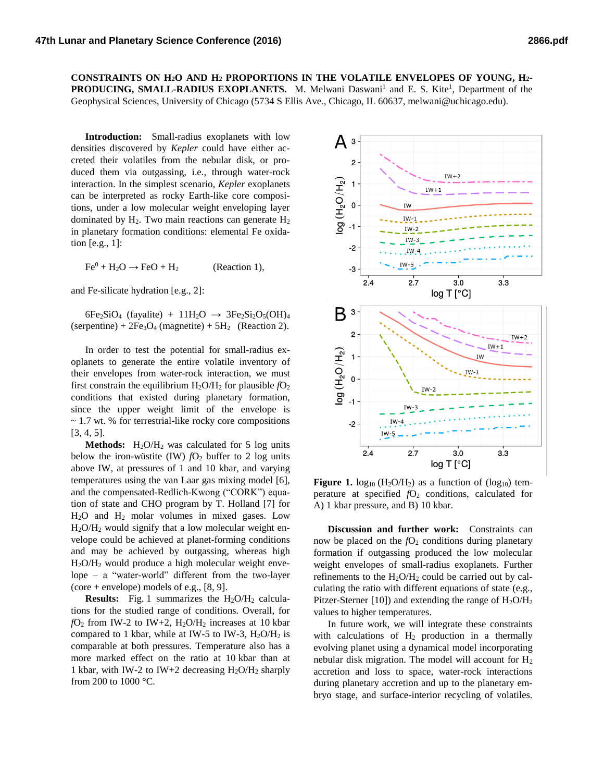**CONSTRAINTS ON H2O AND H<sup>2</sup> PROPORTIONS IN THE VOLATILE ENVELOPES OF YOUNG, H2- PRODUCING, SMALL-RADIUS EXOPLANETS.** M. Melwani Daswani<sup>1</sup> and E. S. Kite<sup>1</sup>, Department of the Geophysical Sciences, University of Chicago (5734 S Ellis Ave., Chicago, IL 60637, melwani@uchicago.edu).

**Introduction:** Small-radius exoplanets with low densities discovered by *Kepler* could have either accreted their volatiles from the nebular disk, or produced them via outgassing, i.e., through water-rock interaction. In the simplest scenario, *Kepler* exoplanets can be interpreted as rocky Earth-like core compositions, under a low molecular weight enveloping layer dominated by  $H_2$ . Two main reactions can generate  $H_2$ in planetary formation conditions: elemental Fe oxidation [e.g., 1]:

 $Fe<sup>0</sup> + H<sub>2</sub>O \rightarrow FeO + H<sub>2</sub>$  (Reaction 1),

and Fe-silicate hydration [e.g., 2]:

 $6Fe_2SiO_4$  (fayalite) + 11H<sub>2</sub>O  $\rightarrow$  3Fe<sub>2</sub>Si<sub>2</sub>O<sub>5</sub>(OH)<sub>4</sub> (serpentine) +  $2Fe<sub>3</sub>O<sub>4</sub>$  (magnetite) +  $5H<sub>2</sub>$  (Reaction 2).

In order to test the potential for small-radius exoplanets to generate the entire volatile inventory of their envelopes from water-rock interaction, we must first constrain the equilibrium  $H_2O/H_2$  for plausible  $fO_2$ conditions that existed during planetary formation, since the upper weight limit of the envelope is ~ 1.7 wt. % for terrestrial-like rocky core compositions [3, 4, 5].

**Methods:**  $H_2O/H_2$  was calculated for 5 log units below the iron-wüstite (IW)  $fQ_2$  buffer to 2 log units above IW, at pressures of 1 and 10 kbar, and varying temperatures using the van Laar gas mixing model [6], and the compensated-Redlich-Kwong ("CORK") equation of state and CHO program by T. Holland [7] for H2O and H<sup>2</sup> molar volumes in mixed gases. Low  $H<sub>2</sub>O/H<sub>2</sub>$  would signify that a low molecular weight envelope could be achieved at planet-forming conditions and may be achieved by outgassing, whereas high H2O/H<sup>2</sup> would produce a high molecular weight envelope – a "water-world" different from the two-layer (core + envelope) models of e.g.,  $[8, 9]$ .

**Results:** Fig. 1 summarizes the  $H_2O/H_2$  calculations for the studied range of conditions. Overall, for  $fO_2$  from IW-2 to IW+2,  $H_2O/H_2$  increases at 10 kbar compared to 1 kbar, while at IW-5 to IW-3,  $H<sub>2</sub>O/H<sub>2</sub>$  is comparable at both pressures. Temperature also has a more marked effect on the ratio at 10 kbar than at 1 kbar, with IW-2 to IW+2 decreasing  $H_2O/H_2$  sharply from 200 to 1000 °C.



**Figure 1.**  $log_{10}$  (H<sub>2</sub>O/H<sub>2</sub>) as a function of ( $log_{10}$ ) temperature at specified  $fO<sub>2</sub>$  conditions, calculated for A) 1 kbar pressure, and B) 10 kbar.

**Discussion and further work:** Constraints can now be placed on the  $fO_2$  conditions during planetary formation if outgassing produced the low molecular weight envelopes of small-radius exoplanets. Further refinements to the  $H_2O/H_2$  could be carried out by calculating the ratio with different equations of state (e.g., Pitzer-Sterner [10]) and extending the range of  $H_2O/H_2$ values to higher temperatures.

In future work, we will integrate these constraints with calculations of  $H_2$  production in a thermally evolving planet using a dynamical model incorporating nebular disk migration. The model will account for  $H_2$ accretion and loss to space, water-rock interactions during planetary accretion and up to the planetary embryo stage, and surface-interior recycling of volatiles.